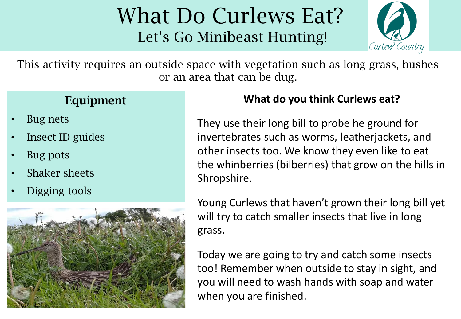

This activity requires an outside space with vegetation such as long grass, bushes or an area that can be dug.

### Equipment

- Bug nets
- Insect ID guides
- Bug pots
- Shaker sheets
- Digging tools



### **What do you think Curlews eat?**

They use their long bill to probe he ground for invertebrates such as worms, leatherjackets, and other insects too. We know they even like to eat the whinberries (bilberries) that grow on the hills in Shropshire.

Young Curlews that haven't grown their long bill yet will try to catch smaller insects that live in long grass.

Today we are going to try and catch some insects too! Remember when outside to stay in sight, and you will need to wash hands with soap and water when you are finished.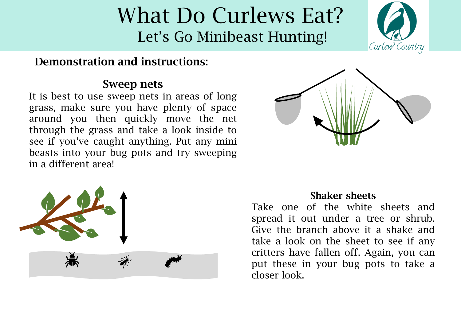### Demonstration and instructions:

#### Sweep nets

It is best to use sweep nets in areas of long grass, make sure you have plenty of space around you then quickly move the net through the grass and take a look inside to see if you've caught anything. Put any mini beasts into your bug pots and try sweeping in a different area!





#### Shaker sheets

Take one of the white sheets and spread it out under a tree or shrub. Give the branch above it a shake and take a look on the sheet to see if any critters have fallen off. Again, you can put these in your bug pots to take a closer look.

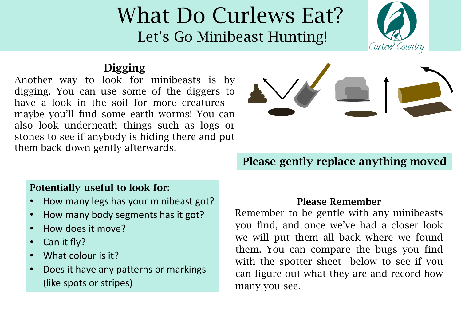

#### Digging

Another way to look for minibeasts is by digging. You can use some of the diggers to have a look in the soil for more creatures – maybe you'll find some earth worms! You can also look underneath things such as logs or stones to see if anybody is hiding there and put them back down gently afterwards.



Please gently replace anything moved

#### Potentially useful to look for:

- How many legs has your minibeast got?
- How many body segments has it got?
- How does it move?
- Can it fly?
- What colour is it?
- Does it have any patterns or markings (like spots or stripes)

#### Please Remember

Remember to be gentle with any minibeasts you find, and once we've had a closer look we will put them all back where we found them. You can compare the bugs you find with the spotter sheet below to see if you can figure out what they are and record how many you see.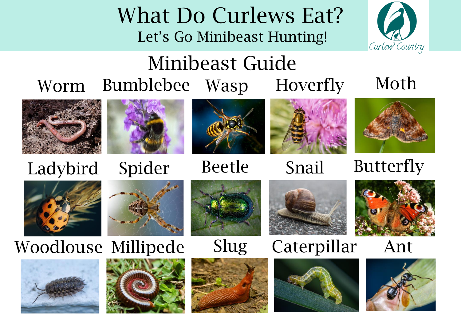

## Minibeast Guide Worm Bumblebee Wasp Hoverfly











Butterfly

Moth

## Ladybird Spider Beetle Snail





## Woodlouse Millipede Slug Caterpillar Ant









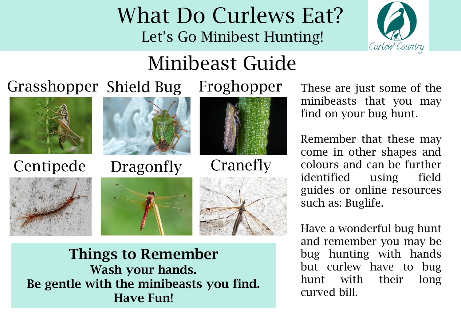

# Minibeast Guide

Grasshopper Shield Bug Froghopper



### Centipede



Dragonfly



Cranefly







Things to Remember Wash your hands. Be gentle with the minibeasts you find. Have Fun!

These are just some of the minibeasts that you may find on your bug hunt.

Remember that these may come in other shapes and colours and can be further identified using field guides or online resources such as: Buglife.

Have a wonderful bug hunt and remember you may be bug hunting with hands but curlew have to bug hunt with their long curved bill.